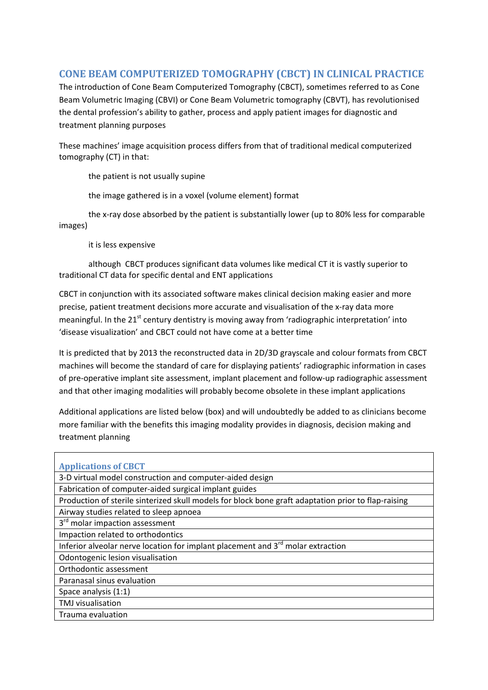## **CONE BEAM COMPUTERIZED TOMOGRAPHY (CBCT) IN CLINICAL PRACTICE**

The introduction of Cone Beam Computerized Tomography (CBCT), sometimes referred to as Cone Beam Volumetric Imaging (CBVI) or Cone Beam Volumetric tomography (CBVT), has revolutionised the dental profession's ability to gather, process and apply patient images for diagnostic and treatment planning purposes

These machines' image acquisition process differs from that of traditional medical computerized tomography (CT) in that:

the patient is not usually supine

the image gathered is in a voxel (volume element) format

the x-ray dose absorbed by the patient is substantially lower (up to 80% less for comparable images)

it is less expensive

although CBCT produces significant data volumes like medical CT it is vastly superior to traditional CT data for specific dental and ENT applications

CBCT in conjunction with its associated software makes clinical decision making easier and more precise, patient treatment decisions more accurate and visualisation of the x-ray data more meaningful. In the 21<sup>st</sup> century dentistry is moving away from 'radiographic interpretation' into 'disease visualization' and CBCT could not have come at a better time

It is predicted that by 2013 the reconstructed data in 2D/3D grayscale and colour formats from CBCT machines will become the standard of care for displaying patients' radiographic information in cases of pre-operative implant site assessment, implant placement and follow-up radiographic assessment and that other imaging modalities will probably become obsolete in these implant applications

Additional applications are listed below (box) and will undoubtedly be added to as clinicians become more familiar with the benefits this imaging modality provides in diagnosis, decision making and treatment planning

| <b>Applications of CBCT</b>                                                                         |  |  |
|-----------------------------------------------------------------------------------------------------|--|--|
| 3-D virtual model construction and computer-aided design                                            |  |  |
| Fabrication of computer-aided surgical implant guides                                               |  |  |
| Production of sterile sinterized skull models for block bone graft adaptation prior to flap-raising |  |  |
| Airway studies related to sleep apnoea                                                              |  |  |
| 3 <sup>rd</sup> molar impaction assessment                                                          |  |  |
| Impaction related to orthodontics                                                                   |  |  |
| Inferior alveolar nerve location for implant placement and 3 <sup>rd</sup> molar extraction         |  |  |
| Odontogenic lesion visualisation                                                                    |  |  |
| Orthodontic assessment                                                                              |  |  |
| Paranasal sinus evaluation                                                                          |  |  |
| Space analysis (1:1)                                                                                |  |  |
| <b>TMJ</b> visualisation                                                                            |  |  |
| Trauma evaluation                                                                                   |  |  |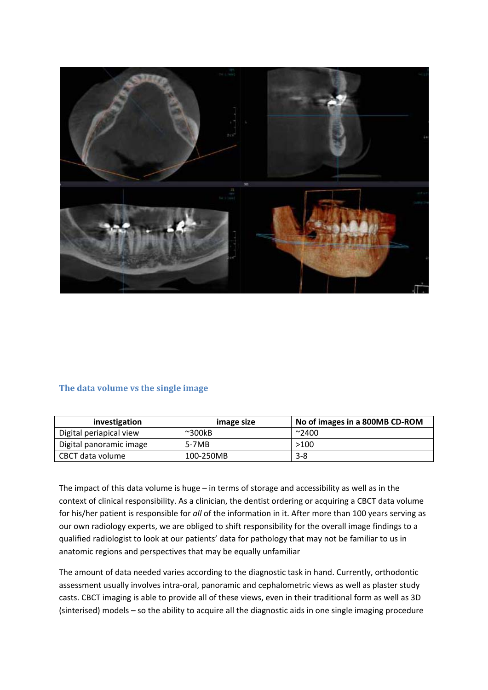

## **The data volume vs the single image**

| investigation           | image size       | No of images in a 800MB CD-ROM |
|-------------------------|------------------|--------------------------------|
| Digital periapical view | $~^{\sim}300$ kB | $^{\sim}$ 2400                 |
| Digital panoramic image | 5-7MB            | >100                           |
| CBCT data volume        | 100-250MB        | $3 - 8$                        |

The impact of this data volume is huge – in terms of storage and accessibility as well as in the context of clinical responsibility. As a clinician, the dentist ordering or acquiring a CBCT data volume for his/her patient is responsible for *all* of the information in it. After more than 100 years serving as our own radiology experts, we are obliged to shift responsibility for the overall image findings to a qualified radiologist to look at our patients' data for pathology that may not be familiar to us in anatomic regions and perspectives that may be equally unfamiliar

The amount of data needed varies according to the diagnostic task in hand. Currently, orthodontic assessment usually involves intra-oral, panoramic and cephalometric views as well as plaster study casts. CBCT imaging is able to provide all of these views, even in their traditional form as well as 3D (sinterised) models – so the ability to acquire all the diagnostic aids in one single imaging procedure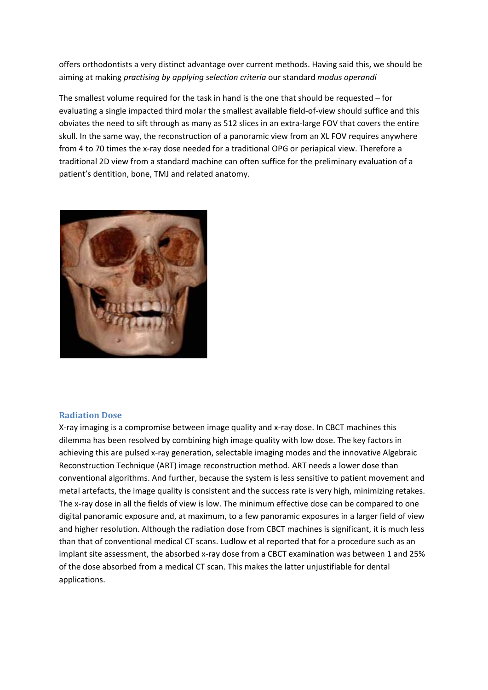offers orthodontists a very distinct advantage over current methods. Having said this, we should be aiming at making *practising by applying selection criteria* our standard *modus operandi*

The smallest volume required for the task in hand is the one that should be requested – for evaluating a single impacted third molar the smallest available field-of-view should suffice and this obviates the need to sift through as many as 512 slices in an extra-large FOV that covers the entire skull. In the same way, the reconstruction of a panoramic view from an XL FOV requires anywhere from 4 to 70 times the x-ray dose needed for a traditional OPG or periapical view. Therefore a traditional 2D view from a standard machine can often suffice for the preliminary evaluation of a patient's dentition, bone, TMJ and related anatomy.



## **Radiation Dose**

X-ray imaging is a compromise between image quality and x-ray dose. In CBCT machines this dilemma has been resolved by combining high image quality with low dose. The key factors in achieving this are pulsed x-ray generation, selectable imaging modes and the innovative Algebraic Reconstruction Technique (ART) image reconstruction method. ART needs a lower dose than conventional algorithms. And further, because the system is less sensitive to patient movement and metal artefacts, the image quality is consistent and the success rate is very high, minimizing retakes. The x-ray dose in all the fields of view is low. The minimum effective dose can be compared to one digital panoramic exposure and, at maximum, to a few panoramic exposures in a larger field of view and higher resolution. Although the radiation dose from CBCT machines is significant, it is much less than that of conventional medical CT scans. Ludlow et al reported that for a procedure such as an implant site assessment, the absorbed x-ray dose from a CBCT examination was between 1 and 25% of the dose absorbed from a medical CT scan. This makes the latter unjustifiable for dental applications.